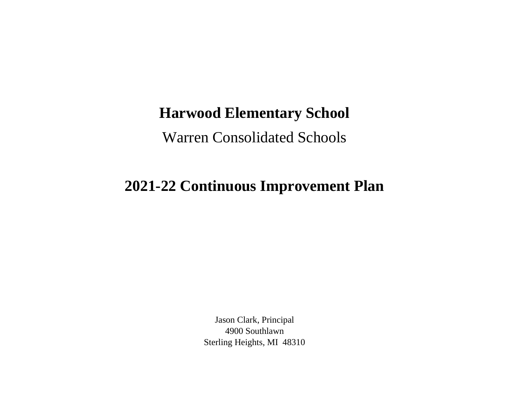## **Harwood Elementary School**

Warren Consolidated Schools

## **2021-22 Continuous Improvement Plan**

Jason Clark, Principal 4900 Southlawn Sterling Heights, MI 48310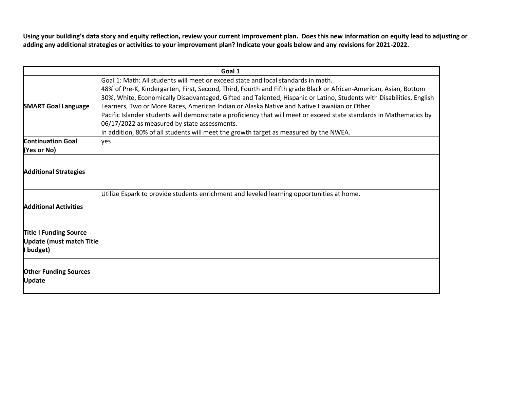**Using your building's data story and equity reflection, review your current improvement plan. Does this new information on equity lead to adjusting or adding any additional strategies or activities to your improvement plan? Indicate your goals below and any revisions for 2021-2022.**

| Goal 1                                                                        |                                                                                                                                                                                                                                                                                                                                                                                                                                                                                                                                                                                                                                                                                              |
|-------------------------------------------------------------------------------|----------------------------------------------------------------------------------------------------------------------------------------------------------------------------------------------------------------------------------------------------------------------------------------------------------------------------------------------------------------------------------------------------------------------------------------------------------------------------------------------------------------------------------------------------------------------------------------------------------------------------------------------------------------------------------------------|
| <b>SMART Goal Language</b>                                                    | Goal 1: Math: All students will meet or exceed state and local standards in math.<br>48% of Pre-K, Kindergarten, First, Second, Third, Fourth and Fifth grade Black or African-American, Asian, Bottom<br>30%, White, Economically Disadvantaged, Gifted and Talented, Hispanic or Latino, Students with Disabilities, English<br>Learners, Two or More Races, American Indian or Alaska Native and Native Hawaiian or Other<br>Pacific Islander students will demonstrate a proficiency that will meet or exceed state standards in Mathematics by<br>06/17/2022 as measured by state assessments.<br>In addition, 80% of all students will meet the growth target as measured by the NWEA. |
| <b>Continuation Goal</b>                                                      | ves                                                                                                                                                                                                                                                                                                                                                                                                                                                                                                                                                                                                                                                                                          |
| (Yes or No)                                                                   |                                                                                                                                                                                                                                                                                                                                                                                                                                                                                                                                                                                                                                                                                              |
| <b>Additional Strategies</b><br><b>Additional Activities</b>                  | Utilize Espark to provide students enrichment and leveled learning opportunities at home.                                                                                                                                                                                                                                                                                                                                                                                                                                                                                                                                                                                                    |
| <b>Title I Funding Source</b><br><b>Update (must match Title</b><br>I budget) |                                                                                                                                                                                                                                                                                                                                                                                                                                                                                                                                                                                                                                                                                              |
| <b>Other Funding Sources</b><br><b>Update</b>                                 |                                                                                                                                                                                                                                                                                                                                                                                                                                                                                                                                                                                                                                                                                              |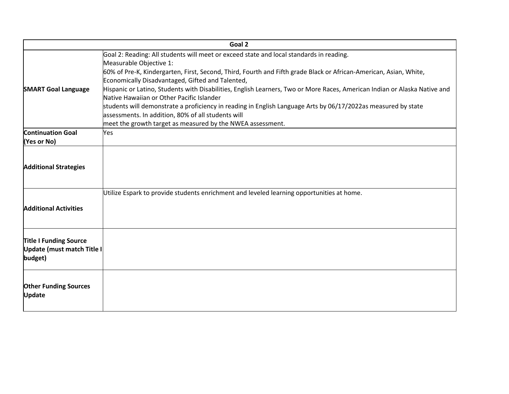| Goal 2                                                                 |                                                                                                                                                                        |  |
|------------------------------------------------------------------------|------------------------------------------------------------------------------------------------------------------------------------------------------------------------|--|
|                                                                        | Goal 2: Reading: All students will meet or exceed state and local standards in reading.<br>Measurable Objective 1:                                                     |  |
|                                                                        | 60% of Pre-K, Kindergarten, First, Second, Third, Fourth and Fifth grade Black or African-American, Asian, White,<br>Economically Disadvantaged, Gifted and Talented,  |  |
| <b>SMART Goal Language</b>                                             | Hispanic or Latino, Students with Disabilities, English Learners, Two or More Races, American Indian or Alaska Native and<br>Native Hawaiian or Other Pacific Islander |  |
|                                                                        | students will demonstrate a proficiency in reading in English Language Arts by 06/17/2022as measured by state<br>assessments. In addition, 80% of all students will    |  |
|                                                                        | meet the growth target as measured by the NWEA assessment.                                                                                                             |  |
| <b>Continuation Goal</b>                                               | Yes                                                                                                                                                                    |  |
| (Yes or No)                                                            |                                                                                                                                                                        |  |
| <b>Additional Strategies</b>                                           |                                                                                                                                                                        |  |
| <b>Additional Activities</b>                                           | Utilize Espark to provide students enrichment and leveled learning opportunities at home.                                                                              |  |
| <b>Title I Funding Source</b><br>Update (must match Title I<br>budget) |                                                                                                                                                                        |  |
| <b>Other Funding Sources</b><br><b>Update</b>                          |                                                                                                                                                                        |  |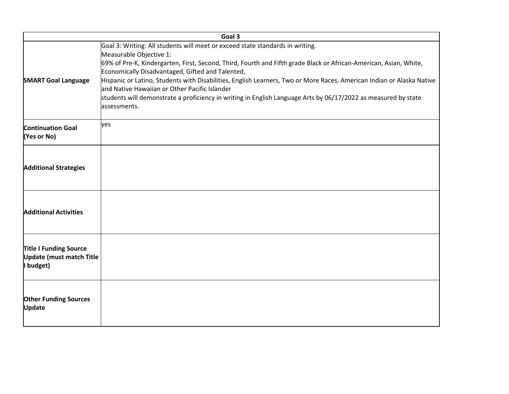|                                                                               | Goal 3                                                                                                                                                                                                                                                                                                                                                                                                                                                                                                                                                                                        |
|-------------------------------------------------------------------------------|-----------------------------------------------------------------------------------------------------------------------------------------------------------------------------------------------------------------------------------------------------------------------------------------------------------------------------------------------------------------------------------------------------------------------------------------------------------------------------------------------------------------------------------------------------------------------------------------------|
| <b>SMART Goal Language</b>                                                    | Goal 3: Writing: All students will meet or exceed state standards in writing.<br>Measurable Objective 1:<br>69% of Pre-K, Kindergarten, First, Second, Third, Fourth and Fifth grade Black or African-American, Asian, White,<br>Economically Disadvantaged, Gifted and Talented,<br>Hispanic or Latino, Students with Disabilities, English Learners, Two or More Races, American Indian or Alaska Native<br>and Native Hawaiian or Other Pacific Islander<br>students will demonstrate a proficiency in writing in English Language Arts by 06/17/2022 as measured by state<br>assessments. |
| <b>Continuation Goal</b><br>(Yes or No)                                       | yes                                                                                                                                                                                                                                                                                                                                                                                                                                                                                                                                                                                           |
| <b>Additional Strategies</b>                                                  |                                                                                                                                                                                                                                                                                                                                                                                                                                                                                                                                                                                               |
| <b>Additional Activities</b>                                                  |                                                                                                                                                                                                                                                                                                                                                                                                                                                                                                                                                                                               |
| <b>Title I Funding Source</b><br><b>Update (must match Title</b><br>I budget) |                                                                                                                                                                                                                                                                                                                                                                                                                                                                                                                                                                                               |
| <b>Other Funding Sources</b><br><b>Update</b>                                 |                                                                                                                                                                                                                                                                                                                                                                                                                                                                                                                                                                                               |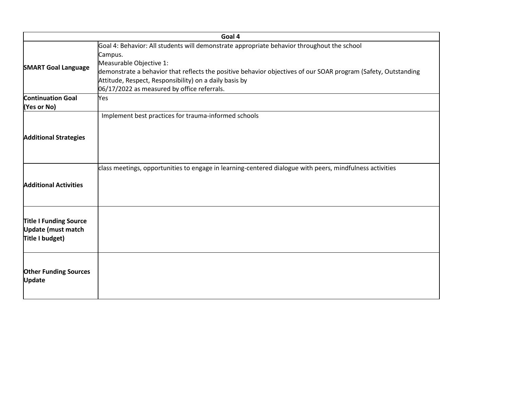|                                                                               | Goal 4                                                                                                                                                                                                                                                                                                                                                      |
|-------------------------------------------------------------------------------|-------------------------------------------------------------------------------------------------------------------------------------------------------------------------------------------------------------------------------------------------------------------------------------------------------------------------------------------------------------|
| <b>SMART Goal Language</b>                                                    | Goal 4: Behavior: All students will demonstrate appropriate behavior throughout the school<br>Campus.<br>Measurable Objective 1:<br>demonstrate a behavior that reflects the positive behavior objectives of our SOAR program (Safety, Outstanding<br>Attitude, Respect, Responsibility) on a daily basis by<br>06/17/2022 as measured by office referrals. |
| <b>Continuation Goal</b>                                                      | Yes                                                                                                                                                                                                                                                                                                                                                         |
| (Yes or No)                                                                   |                                                                                                                                                                                                                                                                                                                                                             |
| <b>Additional Strategies</b>                                                  | Implement best practices for trauma-informed schools                                                                                                                                                                                                                                                                                                        |
| <b>Additional Activities</b>                                                  | class meetings, opportunities to engage in learning-centered dialogue with peers, mindfulness activities                                                                                                                                                                                                                                                    |
| <b>Title I Funding Source</b><br><b>Update (must match</b><br>Title I budget) |                                                                                                                                                                                                                                                                                                                                                             |
| <b>Other Funding Sources</b><br>Update                                        |                                                                                                                                                                                                                                                                                                                                                             |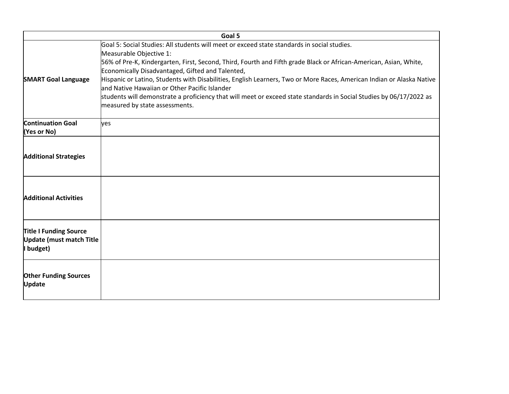| Goal 5                                                                        |                                                                                                                                                                                                                                                                                                                                                                                                                                                                                                                                                                                                                                     |  |
|-------------------------------------------------------------------------------|-------------------------------------------------------------------------------------------------------------------------------------------------------------------------------------------------------------------------------------------------------------------------------------------------------------------------------------------------------------------------------------------------------------------------------------------------------------------------------------------------------------------------------------------------------------------------------------------------------------------------------------|--|
| <b>SMART Goal Language</b>                                                    | Goal 5: Social Studies: All students will meet or exceed state standards in social studies.<br>Measurable Objective 1:<br>56% of Pre-K, Kindergarten, First, Second, Third, Fourth and Fifth grade Black or African-American, Asian, White,<br>Economically Disadvantaged, Gifted and Talented,<br>Hispanic or Latino, Students with Disabilities, English Learners, Two or More Races, American Indian or Alaska Native<br>land Native Hawaiian or Other Pacific Islander<br>students will demonstrate a proficiency that will meet or exceed state standards in Social Studies by 06/17/2022 as<br>measured by state assessments. |  |
| <b>Continuation Goal</b><br>(Yes or No)                                       | ves                                                                                                                                                                                                                                                                                                                                                                                                                                                                                                                                                                                                                                 |  |
| <b>Additional Strategies</b>                                                  |                                                                                                                                                                                                                                                                                                                                                                                                                                                                                                                                                                                                                                     |  |
| <b>Additional Activities</b>                                                  |                                                                                                                                                                                                                                                                                                                                                                                                                                                                                                                                                                                                                                     |  |
| <b>Title I Funding Source</b><br><b>Update (must match Title</b><br>I budget) |                                                                                                                                                                                                                                                                                                                                                                                                                                                                                                                                                                                                                                     |  |
| <b>Other Funding Sources</b><br><b>Update</b>                                 |                                                                                                                                                                                                                                                                                                                                                                                                                                                                                                                                                                                                                                     |  |